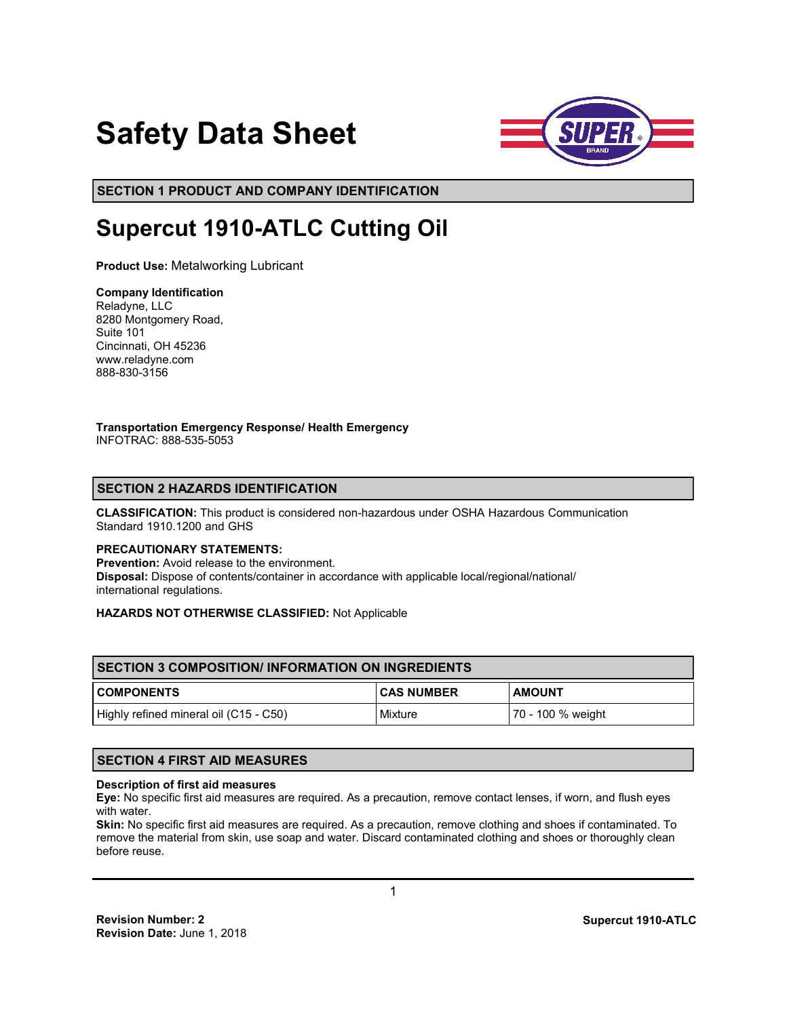# **Safety Data Sheet**



**SECTION 1 PRODUCT AND COMPANY IDENTIFICATION**

# **Supercut 1910-ATLC Cutting Oil**

**Product Use:** Metalworking Lubricant

# **Company Identification**

Reladyne, LLC 8280 Montgomery Road, Suite 101 Cincinnati, OH 45236 www.reladyne.com 888-830-3156

#### **Transportation Emergency Response/ Health Emergency**  INFOTRAC: 888-535-5053

# **SECTION 2 HAZARDS IDENTIFICATION**

**CLASSIFICATION:** This product is considered non-hazardous under OSHA Hazardous Communication Standard 1910.1200 and GHS

#### **PRECAUTIONARY STATEMENTS:**

**Prevention:** Avoid release to the environment. **Disposal:** Dispose of contents/container in accordance with applicable local/regional/national/ international regulations.

#### **HAZARDS NOT OTHERWISE CLASSIFIED:** Not Applicable

| <b>ISECTION 3 COMPOSITION/INFORMATION ON INGREDIENTS</b> |                   |                   |  |
|----------------------------------------------------------|-------------------|-------------------|--|
| <b>COMPONENTS</b>                                        | <b>CAS NUMBER</b> | <b>AMOUNT</b>     |  |
| Highly refined mineral oil (C15 - C50)                   | Mixture           | 70 - 100 % weight |  |

# **SECTION 4 FIRST AID MEASURES**

#### **Description of first aid measures**

**Eye:** No specific first aid measures are required. As a precaution, remove contact lenses, if worn, and flush eyes with water.

**Skin:** No specific first aid measures are required. As a precaution, remove clothing and shoes if contaminated. To remove the material from skin, use soap and water. Discard contaminated clothing and shoes or thoroughly clean before reuse.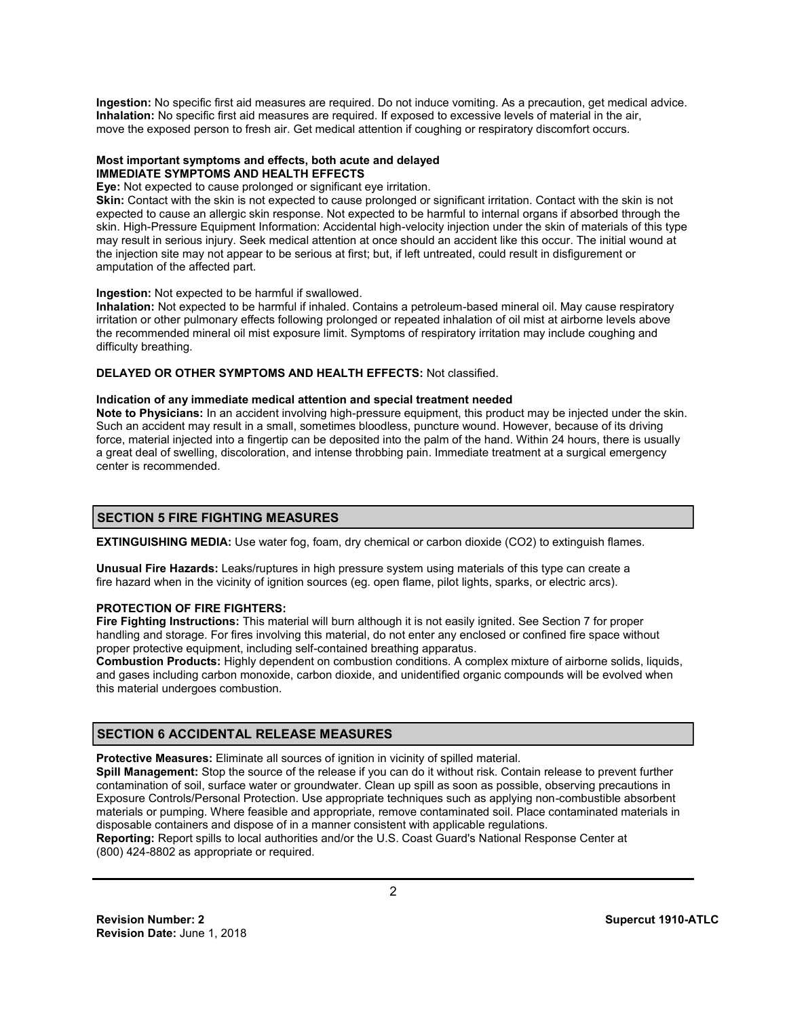**Ingestion:** No specific first aid measures are required. Do not induce vomiting. As a precaution, get medical advice. **Inhalation:** No specific first aid measures are required. If exposed to excessive levels of material in the air, move the exposed person to fresh air. Get medical attention if coughing or respiratory discomfort occurs.

#### **Most important symptoms and effects, both acute and delayed IMMEDIATE SYMPTOMS AND HEALTH EFFECTS**

**Eye:** Not expected to cause prolonged or significant eye irritation.

**Skin:** Contact with the skin is not expected to cause prolonged or significant irritation. Contact with the skin is not expected to cause an allergic skin response. Not expected to be harmful to internal organs if absorbed through the skin. High-Pressure Equipment Information: Accidental high-velocity injection under the skin of materials of this type may result in serious injury. Seek medical attention at once should an accident like this occur. The initial wound at the injection site may not appear to be serious at first; but, if left untreated, could result in disfigurement or amputation of the affected part.

#### **Ingestion:** Not expected to be harmful if swallowed.

**Inhalation:** Not expected to be harmful if inhaled. Contains a petroleum-based mineral oil. May cause respiratory irritation or other pulmonary effects following prolonged or repeated inhalation of oil mist at airborne levels above the recommended mineral oil mist exposure limit. Symptoms of respiratory irritation may include coughing and difficulty breathing.

#### **DELAYED OR OTHER SYMPTOMS AND HEALTH EFFECTS:** Not classified.

#### **Indication of any immediate medical attention and special treatment needed**

**Note to Physicians:** In an accident involving high-pressure equipment, this product may be injected under the skin. Such an accident may result in a small, sometimes bloodless, puncture wound. However, because of its driving force, material injected into a fingertip can be deposited into the palm of the hand. Within 24 hours, there is usually a great deal of swelling, discoloration, and intense throbbing pain. Immediate treatment at a surgical emergency center is recommended.

#### **SECTION 5 FIRE FIGHTING MEASURES**

**EXTINGUISHING MEDIA:** Use water fog, foam, dry chemical or carbon dioxide (CO2) to extinguish flames.

**Unusual Fire Hazards:** Leaks/ruptures in high pressure system using materials of this type can create a fire hazard when in the vicinity of ignition sources (eg. open flame, pilot lights, sparks, or electric arcs).

#### **PROTECTION OF FIRE FIGHTERS:**

**Fire Fighting Instructions:** This material will burn although it is not easily ignited. See Section 7 for proper handling and storage. For fires involving this material, do not enter any enclosed or confined fire space without proper protective equipment, including self-contained breathing apparatus.

**Combustion Products:** Highly dependent on combustion conditions. A complex mixture of airborne solids, liquids, and gases including carbon monoxide, carbon dioxide, and unidentified organic compounds will be evolved when this material undergoes combustion.

# **SECTION 6 ACCIDENTAL RELEASE MEASURES**

**Protective Measures:** Eliminate all sources of ignition in vicinity of spilled material.

**Spill Management:** Stop the source of the release if you can do it without risk. Contain release to prevent further contamination of soil, surface water or groundwater. Clean up spill as soon as possible, observing precautions in Exposure Controls/Personal Protection. Use appropriate techniques such as applying non-combustible absorbent materials or pumping. Where feasible and appropriate, remove contaminated soil. Place contaminated materials in disposable containers and dispose of in a manner consistent with applicable regulations.

**Reporting:** Report spills to local authorities and/or the U.S. Coast Guard's National Response Center at (800) 424-8802 as appropriate or required.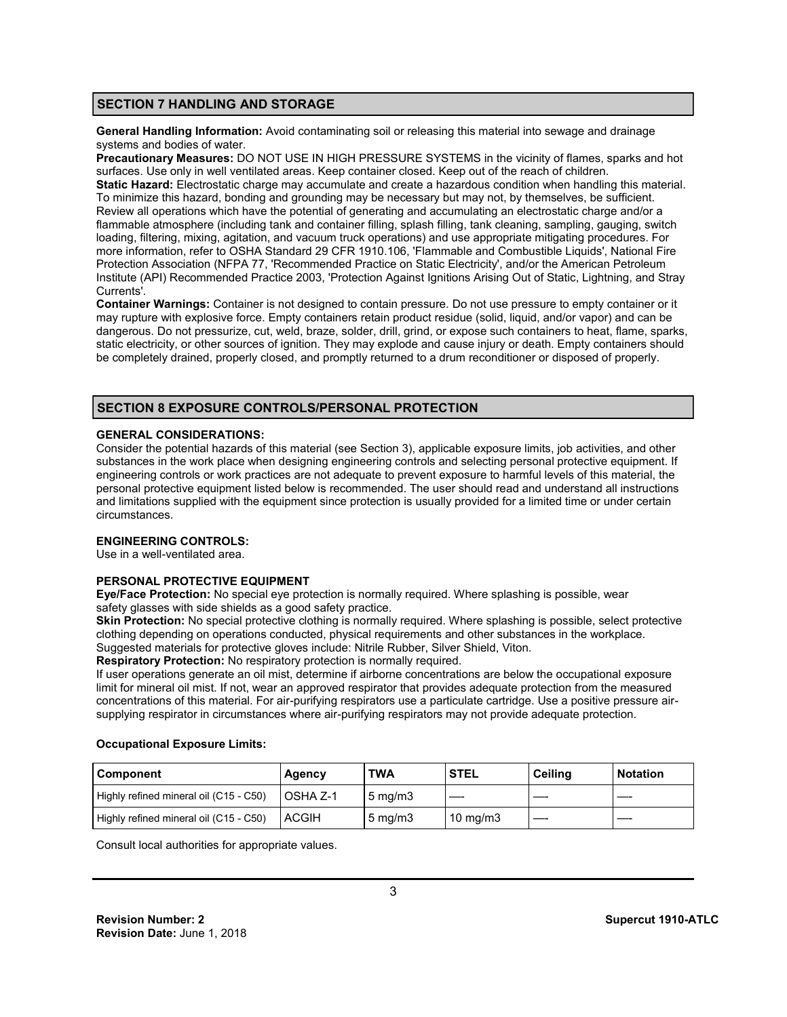#### **SECTION 7 HANDLING AND STORAGE**

**General Handling Information:** Avoid contaminating soil or releasing this material into sewage and drainage systems and bodies of water.

**Precautionary Measures:** DO NOT USE IN HIGH PRESSURE SYSTEMS in the vicinity of flames, sparks and hot surfaces. Use only in well ventilated areas. Keep container closed. Keep out of the reach of children. **Static Hazard:** Electrostatic charge may accumulate and create a hazardous condition when handling this material. To minimize this hazard, bonding and grounding may be necessary but may not, by themselves, be sufficient. Review all operations which have the potential of generating and accumulating an electrostatic charge and/or a flammable atmosphere (including tank and container filling, splash filling, tank cleaning, sampling, gauging, switch loading, filtering, mixing, agitation, and vacuum truck operations) and use appropriate mitigating procedures. For more information, refer to OSHA Standard 29 CFR 1910.106, 'Flammable and Combustible Liquids', National Fire Protection Association (NFPA 77, 'Recommended Practice on Static Electricity', and/or the American Petroleum Institute (API) Recommended Practice 2003, 'Protection Against Ignitions Arising Out of Static, Lightning, and Stray Currents'.

**Container Warnings:** Container is not designed to contain pressure. Do not use pressure to empty container or it may rupture with explosive force. Empty containers retain product residue (solid, liquid, and/or vapor) and can be dangerous. Do not pressurize, cut, weld, braze, solder, drill, grind, or expose such containers to heat, flame, sparks, static electricity, or other sources of ignition. They may explode and cause injury or death. Empty containers should be completely drained, properly closed, and promptly returned to a drum reconditioner or disposed of properly.

# **SECTION 8 EXPOSURE CONTROLS/PERSONAL PROTECTION**

#### **GENERAL CONSIDERATIONS:**

Consider the potential hazards of this material (see Section 3), applicable exposure limits, job activities, and other substances in the work place when designing engineering controls and selecting personal protective equipment. If engineering controls or work practices are not adequate to prevent exposure to harmful levels of this material, the personal protective equipment listed below is recommended. The user should read and understand all instructions and limitations supplied with the equipment since protection is usually provided for a limited time or under certain circumstances.

#### **ENGINEERING CONTROLS:**

Use in a well-ventilated area.

# **PERSONAL PROTECTIVE EQUIPMENT**

**Eye/Face Protection:** No special eye protection is normally required. Where splashing is possible, wear safety glasses with side shields as a good safety practice.

**Skin Protection:** No special protective clothing is normally required. Where splashing is possible, select protective clothing depending on operations conducted, physical requirements and other substances in the workplace. Suggested materials for protective gloves include: Nitrile Rubber, Silver Shield, Viton.

**Respiratory Protection:** No respiratory protection is normally required.

If user operations generate an oil mist, determine if airborne concentrations are below the occupational exposure limit for mineral oil mist. If not, wear an approved respirator that provides adequate protection from the measured concentrations of this material. For air-purifying respirators use a particulate cartridge. Use a positive pressure airsupplying respirator in circumstances where air-purifying respirators may not provide adequate protection.

#### **Occupational Exposure Limits:**

| <b>Component</b>                       | Agency     | <b>TWA</b>         | <b>STEL</b>       | <b>Ceilina</b> | <b>Notation</b> |
|----------------------------------------|------------|--------------------|-------------------|----------------|-----------------|
| Highly refined mineral oil (C15 - C50) | l OSHA Z-1 | $5 \text{ ma/m}$ 3 |                   |                |                 |
| Highly refined mineral oil (C15 - C50) | ACGIH      | $5 \text{ mg/m}$   | $10 \text{ mg/m}$ |                |                 |

Consult local authorities for appropriate values.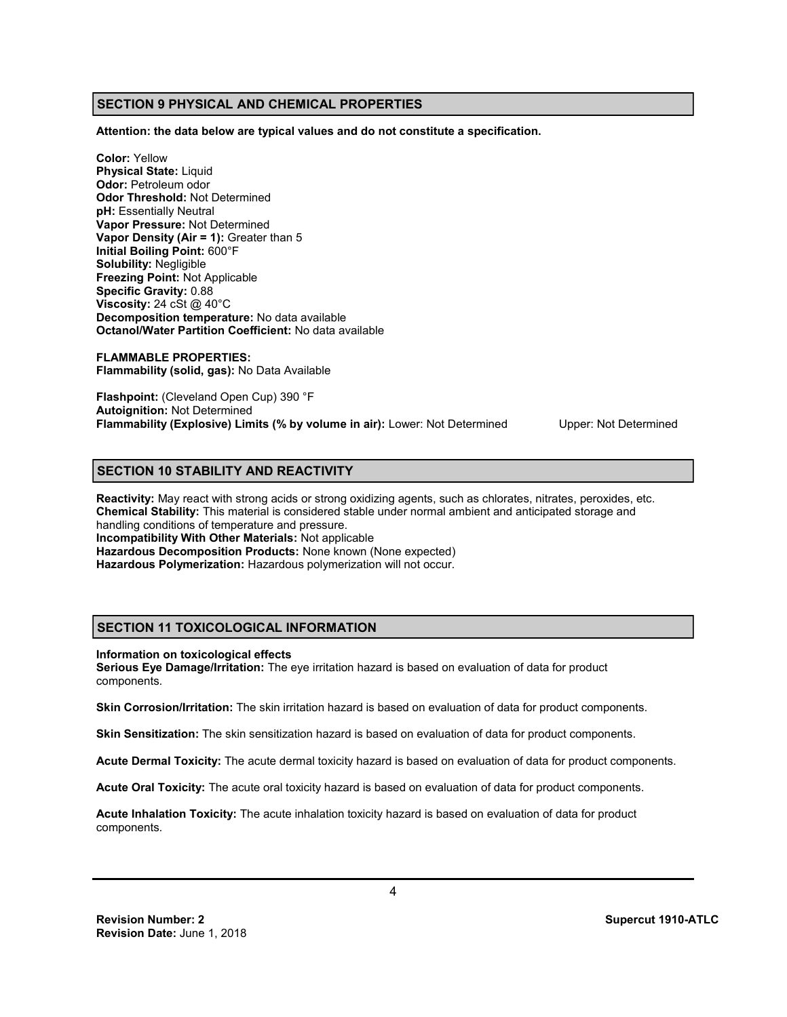# **SECTION 9 PHYSICAL AND CHEMICAL PROPERTIES**

**Attention: the data below are typical values and do not constitute a specification.** 

**Color:** Yellow **Physical State:** Liquid **Odor:** Petroleum odor **Odor Threshold:** Not Determined **pH:** Essentially Neutral **Vapor Pressure:** Not Determined **Vapor Density (Air = 1):** Greater than 5 **Initial Boiling Point:** 600°F **Solubility:** Negligible **Freezing Point:** Not Applicable **Specific Gravity:** 0.88 **Viscosity:** 24 cSt @ 40°C **Decomposition temperature:** No data available **Octanol/Water Partition Coefficient:** No data available

**FLAMMABLE PROPERTIES: Flammability (solid, gas):** No Data Available

**Flashpoint:** (Cleveland Open Cup) 390 °F **Autoignition:** Not Determined **Flammability (Explosive) Limits (% by volume in air):** Lower: Not Determined Upper: Not Determined

# **SECTION 10 STABILITY AND REACTIVITY**

**Reactivity:** May react with strong acids or strong oxidizing agents, such as chlorates, nitrates, peroxides, etc. **Chemical Stability:** This material is considered stable under normal ambient and anticipated storage and handling conditions of temperature and pressure. **Incompatibility With Other Materials:** Not applicable **Hazardous Decomposition Products:** None known (None expected) **Hazardous Polymerization:** Hazardous polymerization will not occur.

# **SECTION 11 TOXICOLOGICAL INFORMATION**

#### **Information on toxicological effects**

**Serious Eye Damage/Irritation:** The eye irritation hazard is based on evaluation of data for product components.

**Skin Corrosion/Irritation:** The skin irritation hazard is based on evaluation of data for product components.

**Skin Sensitization:** The skin sensitization hazard is based on evaluation of data for product components.

**Acute Dermal Toxicity:** The acute dermal toxicity hazard is based on evaluation of data for product components.

**Acute Oral Toxicity:** The acute oral toxicity hazard is based on evaluation of data for product components.

**Acute Inhalation Toxicity:** The acute inhalation toxicity hazard is based on evaluation of data for product components.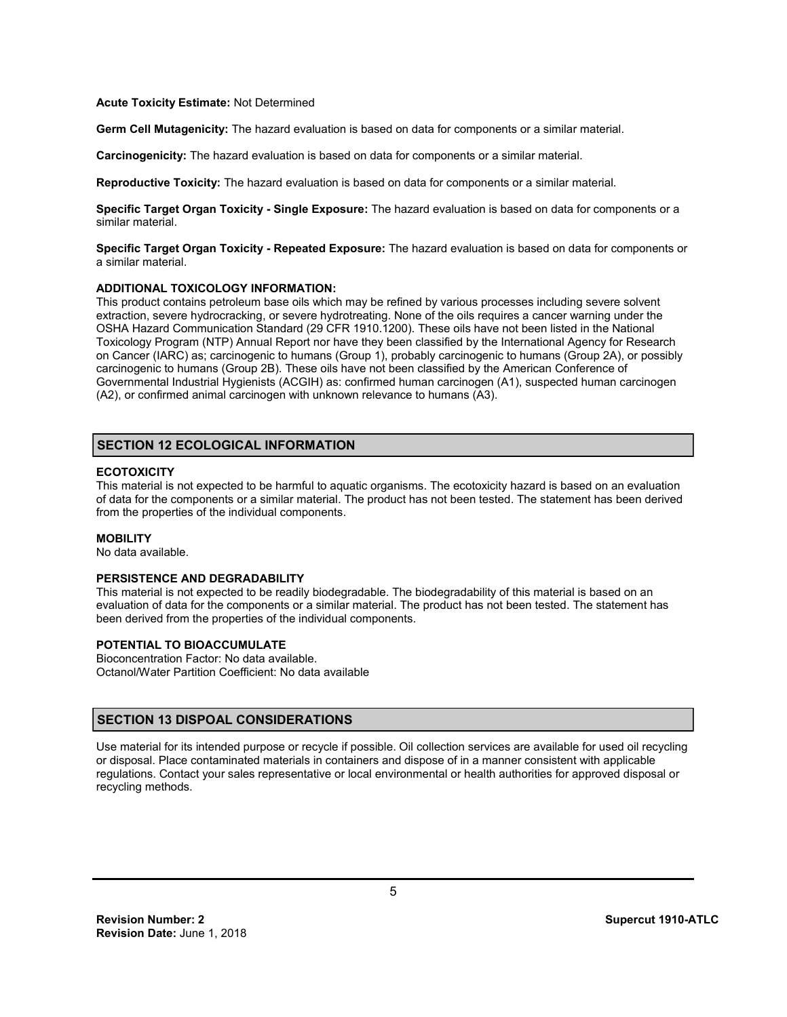#### **Acute Toxicity Estimate:** Not Determined

**Germ Cell Mutagenicity:** The hazard evaluation is based on data for components or a similar material.

**Carcinogenicity:** The hazard evaluation is based on data for components or a similar material.

**Reproductive Toxicity:** The hazard evaluation is based on data for components or a similar material.

**Specific Target Organ Toxicity - Single Exposure:** The hazard evaluation is based on data for components or a similar material.

**Specific Target Organ Toxicity - Repeated Exposure:** The hazard evaluation is based on data for components or a similar material.

#### **ADDITIONAL TOXICOLOGY INFORMATION:**

This product contains petroleum base oils which may be refined by various processes including severe solvent extraction, severe hydrocracking, or severe hydrotreating. None of the oils requires a cancer warning under the OSHA Hazard Communication Standard (29 CFR 1910.1200). These oils have not been listed in the National Toxicology Program (NTP) Annual Report nor have they been classified by the International Agency for Research on Cancer (IARC) as; carcinogenic to humans (Group 1), probably carcinogenic to humans (Group 2A), or possibly carcinogenic to humans (Group 2B). These oils have not been classified by the American Conference of Governmental Industrial Hygienists (ACGIH) as: confirmed human carcinogen (A1), suspected human carcinogen (A2), or confirmed animal carcinogen with unknown relevance to humans (A3).

#### **SECTION 12 ECOLOGICAL INFORMATION**

#### **ECOTOXICITY**

This material is not expected to be harmful to aquatic organisms. The ecotoxicity hazard is based on an evaluation of data for the components or a similar material. The product has not been tested. The statement has been derived from the properties of the individual components.

#### **MOBILITY**

No data available.

# **PERSISTENCE AND DEGRADABILITY**

This material is not expected to be readily biodegradable. The biodegradability of this material is based on an evaluation of data for the components or a similar material. The product has not been tested. The statement has been derived from the properties of the individual components.

# **POTENTIAL TO BIOACCUMULATE**

Bioconcentration Factor: No data available. Octanol/Water Partition Coefficient: No data available

# **SECTION 13 DISPOAL CONSIDERATIONS**

Use material for its intended purpose or recycle if possible. Oil collection services are available for used oil recycling or disposal. Place contaminated materials in containers and dispose of in a manner consistent with applicable regulations. Contact your sales representative or local environmental or health authorities for approved disposal or recycling methods.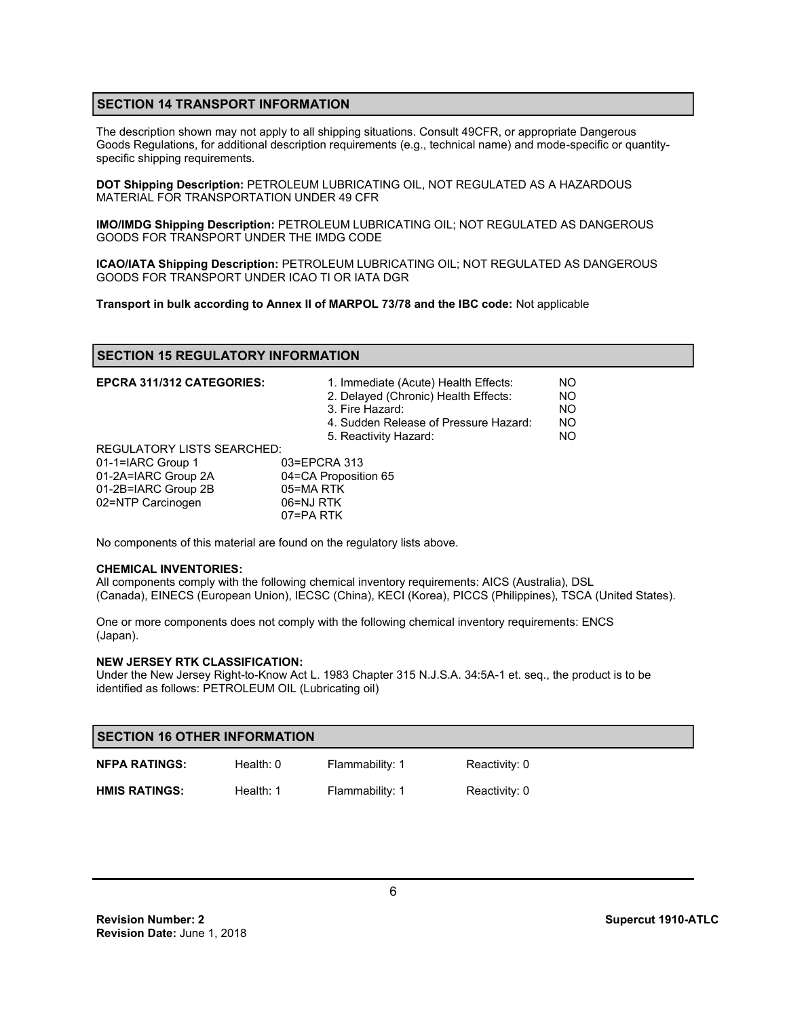# **SECTION 14 TRANSPORT INFORMATION**

The description shown may not apply to all shipping situations. Consult 49CFR, or appropriate Dangerous Goods Regulations, for additional description requirements (e.g., technical name) and mode-specific or quantityspecific shipping requirements.

**DOT Shipping Description:** PETROLEUM LUBRICATING OIL, NOT REGULATED AS A HAZARDOUS MATERIAL FOR TRANSPORTATION UNDER 49 CFR

**IMO/IMDG Shipping Description:** PETROLEUM LUBRICATING OIL; NOT REGULATED AS DANGEROUS GOODS FOR TRANSPORT UNDER THE IMDG CODE

**ICAO/IATA Shipping Description:** PETROLEUM LUBRICATING OIL; NOT REGULATED AS DANGEROUS GOODS FOR TRANSPORT UNDER ICAO TI OR IATA DGR

**Transport in bulk according to Annex II of MARPOL 73/78 and the IBC code:** Not applicable

#### **SECTION 15 REGULATORY INFORMATION**

| <b>EPCRA 311/312 CATEGORIES:</b>  | 1. Immediate (Acute) Health Effects:<br>2. Delayed (Chronic) Health Effects:<br>3. Fire Hazard:<br>4. Sudden Release of Pressure Hazard:<br>5. Reactivity Hazard: | NO.<br><b>NO</b><br><b>NO</b><br><b>NO</b><br>NO. |
|-----------------------------------|-------------------------------------------------------------------------------------------------------------------------------------------------------------------|---------------------------------------------------|
| <b>REGULATORY LISTS SEARCHED:</b> |                                                                                                                                                                   |                                                   |
| 01-1=IARC Group 1                 | 03=EPCRA 313                                                                                                                                                      |                                                   |
| 01-2A=IARC Group 2A               | 04=CA Proposition 65                                                                                                                                              |                                                   |
| 01-2B=IARC Group 2B               | 05=MA RTK                                                                                                                                                         |                                                   |
| 02=NTP Carcinogen                 | 06=NJ RTK                                                                                                                                                         |                                                   |
|                                   | 07=PA RTK                                                                                                                                                         |                                                   |

No components of this material are found on the regulatory lists above.

#### **CHEMICAL INVENTORIES:**

All components comply with the following chemical inventory requirements: AICS (Australia), DSL (Canada), EINECS (European Union), IECSC (China), KECI (Korea), PICCS (Philippines), TSCA (United States).

One or more components does not comply with the following chemical inventory requirements: ENCS (Japan).

#### **NEW JERSEY RTK CLASSIFICATION:**

Under the New Jersey Right-to-Know Act L. 1983 Chapter 315 N.J.S.A. 34:5A-1 et. seq., the product is to be identified as follows: PETROLEUM OIL (Lubricating oil)

| <b>SECTION 16 OTHER INFORMATION</b> |             |                 |               |  |
|-------------------------------------|-------------|-----------------|---------------|--|
| <b>NFPA RATINGS:</b>                | Health: $0$ | Flammability: 1 | Reactivity: 0 |  |
| <b>HMIS RATINGS:</b>                | Health: $1$ | Flammability: 1 | Reactivity: 0 |  |